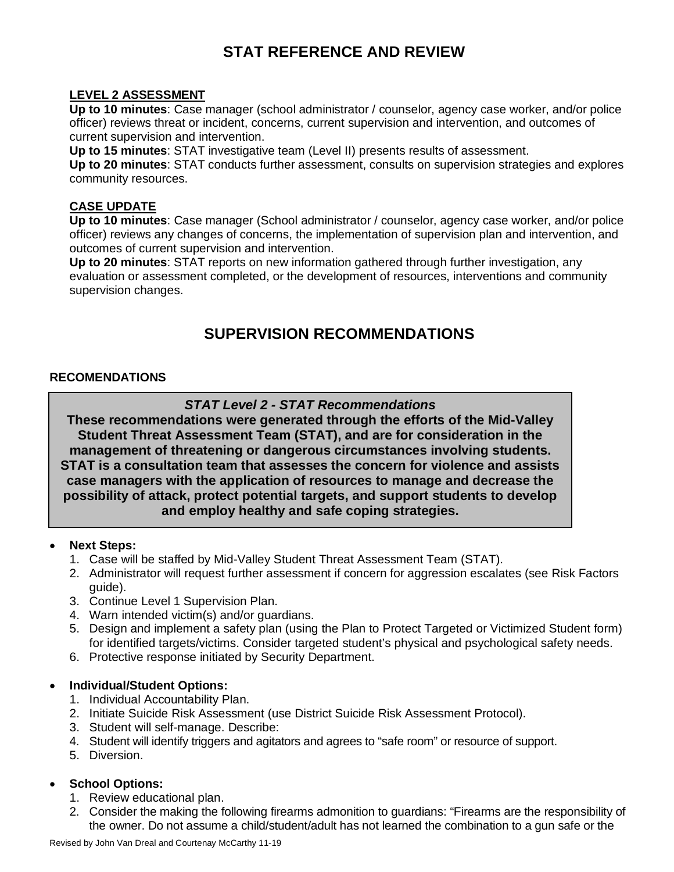# **STAT REFERENCE AND REVIEW**

# **LEVEL 2 ASSESSMENT**

**Up to 10 minutes**: Case manager (school administrator / counselor, agency case worker, and/or police officer) reviews threat or incident, concerns, current supervision and intervention, and outcomes of current supervision and intervention.

**Up to 15 minutes**: STAT investigative team (Level II) presents results of assessment.

**Up to 20 minutes**: STAT conducts further assessment, consults on supervision strategies and explores community resources.

# **CASE UPDATE**

**Up to 10 minutes**: Case manager (School administrator / counselor, agency case worker, and/or police officer) reviews any changes of concerns, the implementation of supervision plan and intervention, and outcomes of current supervision and intervention.

**Up to 20 minutes**: STAT reports on new information gathered through further investigation, any evaluation or assessment completed, or the development of resources, interventions and community supervision changes.

# **SUPERVISION RECOMMENDATIONS**

# **RECOMENDATIONS**

# *STAT Level 2 - STAT Recommendations*

**These recommendations were generated through the efforts of the Mid-Valley Student Threat Assessment Team (STAT), and are for consideration in the management of threatening or dangerous circumstances involving students. STAT is a consultation team that assesses the concern for violence and assists case managers with the application of resources to manage and decrease the possibility of attack, protect potential targets, and support students to develop and employ healthy and safe coping strategies.**

# • **Next Steps:**

- 1. Case will be staffed by Mid-Valley Student Threat Assessment Team (STAT).
- 2. Administrator will request further assessment if concern for aggression escalates (see Risk Factors quide).
- 3. Continue Level 1 Supervision Plan.
- 4. Warn intended victim(s) and/or guardians.
- 5. Design and implement a safety plan (using the Plan to Protect Targeted or Victimized Student form) for identified targets/victims. Consider targeted student's physical and psychological safety needs.
- 6. Protective response initiated by Security Department.

# • **Individual/Student Options:**

- 1. Individual Accountability Plan.
- 2. Initiate Suicide Risk Assessment (use District Suicide Risk Assessment Protocol).
- 3. Student will self-manage. Describe:
- 4. Student will identify triggers and agitators and agrees to "safe room" or resource of support.
- 5. Diversion.

# • **School Options:**

- 1. Review educational plan.
- 2. Consider the making the following firearms admonition to guardians: "Firearms are the responsibility of the owner. Do not assume a child/student/adult has not learned the combination to a gun safe or the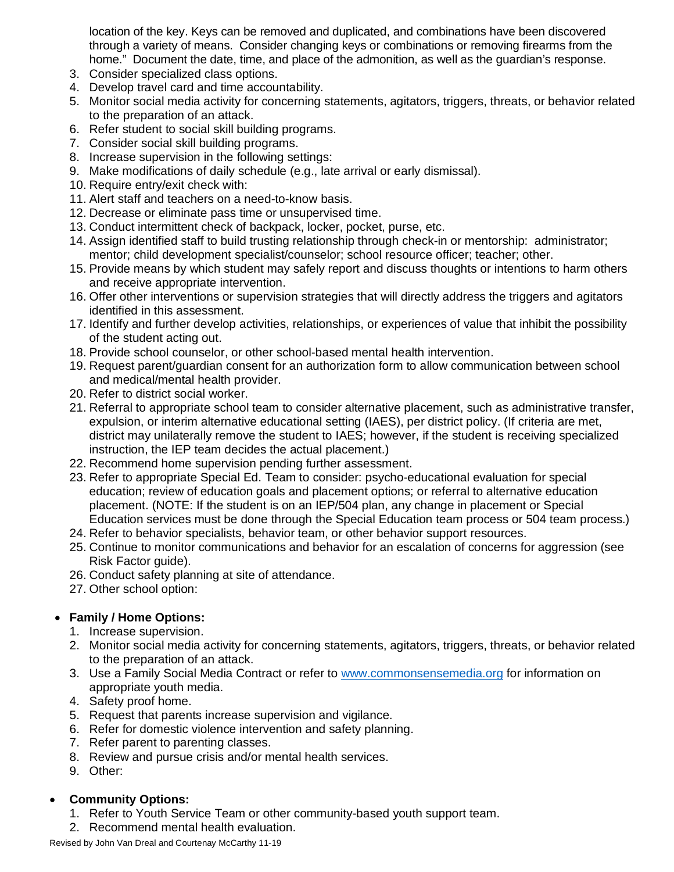location of the key. Keys can be removed and duplicated, and combinations have been discovered through a variety of means. Consider changing keys or combinations or removing firearms from the home." Document the date, time, and place of the admonition, as well as the guardian's response.

- 3. Consider specialized class options.
- 4. Develop travel card and time accountability.
- 5. Monitor social media activity for concerning statements, agitators, triggers, threats, or behavior related to the preparation of an attack.
- 6. Refer student to social skill building programs.
- 7. Consider social skill building programs.
- 8. Increase supervision in the following settings:
- 9. Make modifications of daily schedule (e.g., late arrival or early dismissal).
- 10. Require entry/exit check with:
- 11. Alert staff and teachers on a need-to-know basis.
- 12. Decrease or eliminate pass time or unsupervised time.
- 13. Conduct intermittent check of backpack, locker, pocket, purse, etc.
- 14. Assign identified staff to build trusting relationship through check-in or mentorship: administrator; mentor; child development specialist/counselor; school resource officer; teacher; other.
- 15. Provide means by which student may safely report and discuss thoughts or intentions to harm others and receive appropriate intervention.
- 16. Offer other interventions or supervision strategies that will directly address the triggers and agitators identified in this assessment.
- 17. Identify and further develop activities, relationships, or experiences of value that inhibit the possibility of the student acting out.
- 18. Provide school counselor, or other school-based mental health intervention.
- 19. Request parent/guardian consent for an authorization form to allow communication between school and medical/mental health provider.
- 20. Refer to district social worker.
- 21. Referral to appropriate school team to consider alternative placement, such as administrative transfer, expulsion, or interim alternative educational setting (IAES), per district policy. (If criteria are met, district may unilaterally remove the student to IAES; however, if the student is receiving specialized instruction, the IEP team decides the actual placement.)
- 22. Recommend home supervision pending further assessment.
- 23. Refer to appropriate Special Ed. Team to consider: psycho-educational evaluation for special education; review of education goals and placement options; or referral to alternative education placement. (NOTE: If the student is on an IEP/504 plan, any change in placement or Special Education services must be done through the Special Education team process or 504 team process.)
- 24. Refer to behavior specialists, behavior team, or other behavior support resources.
- 25. Continue to monitor communications and behavior for an escalation of concerns for aggression (see Risk Factor guide).
- 26. Conduct safety planning at site of attendance.
- 27. Other school option:

# • **Family / Home Options:**

- 1. Increase supervision.
- 2. Monitor social media activity for concerning statements, agitators, triggers, threats, or behavior related to the preparation of an attack.
- 3. Use a Family Social Media Contract or refer to [www.commonsensemedia.org](http://www.commonsensemedia.org/) for information on appropriate youth media.
- 4. Safety proof home.
- 5. Request that parents increase supervision and vigilance.
- 6. Refer for domestic violence intervention and safety planning.
- 7. Refer parent to parenting classes.
- 8. Review and pursue crisis and/or mental health services.
- 9. Other:

# • **Community Options:**

- 1. Refer to Youth Service Team or other community-based youth support team.
- 2. Recommend mental health evaluation.

Revised by John Van Dreal and Courtenay McCarthy 11-19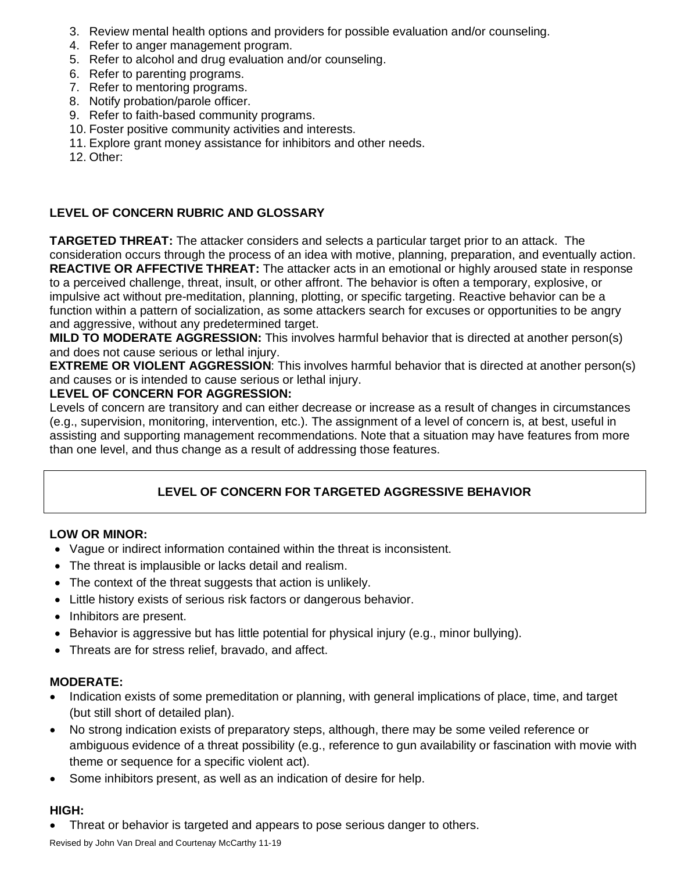- 3. Review mental health options and providers for possible evaluation and/or counseling.
- 4. Refer to anger management program.
- 5. Refer to alcohol and drug evaluation and/or counseling.
- 6. Refer to parenting programs.
- 7. Refer to mentoring programs.
- 8. Notify probation/parole officer.
- 9. Refer to faith-based community programs.
- 10. Foster positive community activities and interests.
- 11. Explore grant money assistance for inhibitors and other needs.

12. Other:

# **LEVEL OF CONCERN RUBRIC AND GLOSSARY**

**TARGETED THREAT:** The attacker considers and selects a particular target prior to an attack.The consideration occurs through the process of an idea with motive, planning, preparation, and eventually action. **REACTIVE OR AFFECTIVE THREAT:** The attacker acts in an emotional or highly aroused state in response to a perceived challenge, threat, insult, or other affront. The behavior is often a temporary, explosive, or impulsive act without pre-meditation, planning, plotting, or specific targeting. Reactive behavior can be a function within a pattern of socialization, as some attackers search for excuses or opportunities to be angry and aggressive, without any predetermined target.

**MILD TO MODERATE AGGRESSION:** This involves harmful behavior that is directed at another person(s) and does not cause serious or lethal injury.

**EXTREME OR VIOLENT AGGRESSION**: This involves harmful behavior that is directed at another person(s) and causes or is intended to cause serious or lethal injury.

#### **LEVEL OF CONCERN FOR AGGRESSION:**

Levels of concern are transitory and can either decrease or increase as a result of changes in circumstances (e.g., supervision, monitoring, intervention, etc.). The assignment of a level of concern is, at best, useful in assisting and supporting management recommendations. Note that a situation may have features from more than one level, and thus change as a result of addressing those features.

# **LEVEL OF CONCERN FOR TARGETED AGGRESSIVE BEHAVIOR**

# **LOW OR MINOR:**

- Vague or indirect information contained within the threat is inconsistent.
- The threat is implausible or lacks detail and realism.
- The context of the threat suggests that action is unlikely.
- Little history exists of serious risk factors or dangerous behavior.
- Inhibitors are present.
- Behavior is aggressive but has little potential for physical injury (e.g., minor bullying).
- Threats are for stress relief, bravado, and affect.

# **MODERATE:**

- Indication exists of some premeditation or planning, with general implications of place, time, and target (but still short of detailed plan).
- No strong indication exists of preparatory steps, although, there may be some veiled reference or ambiguous evidence of a threat possibility (e.g., reference to gun availability or fascination with movie with theme or sequence for a specific violent act).
- Some inhibitors present, as well as an indication of desire for help.

# **HIGH:**

• Threat or behavior is targeted and appears to pose serious danger to others.

Revised by John Van Dreal and Courtenay McCarthy 11-19